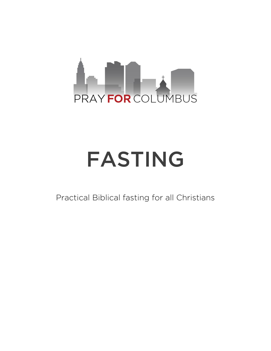

# FASTING

Practical Biblical fasting for all Christians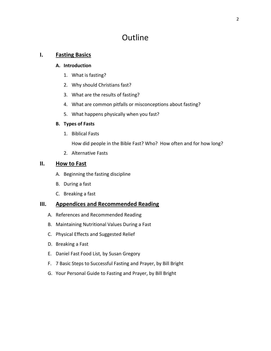# **Outline**

#### **I. Fasting Basics**

#### **A. Introduction**

- 1. What is fasting?
- 2. Why should Christians fast?
- 3. What are the results of fasting?
- 4. What are common pitfalls or misconceptions about fasting?
- 5. What happens physically when you fast?

#### **B. Types of Fasts**

1. Biblical Fasts

How did people in the Bible Fast? Who? How often and for how long?

2. Alternative Fasts

#### **II. How to Fast**

- A. Beginning the fasting discipline
- B. During a fast
- C. Breaking a fast

#### **III. Appendices and Recommended Reading**

- A. References and Recommended Reading
- <span id="page-1-0"></span>B. Maintaining Nutritional Values During a Fast
- <span id="page-1-1"></span>C. Physical Effects and Suggested Relief
- <span id="page-1-2"></span>D. Breaking a Fast
- <span id="page-1-3"></span>E. Daniel Fast Food List, by Susan Gregory
- <span id="page-1-4"></span>F. 7 Basic Steps to Successful Fasting and Prayer, by Bill Bright
- <span id="page-1-5"></span>G. Your Personal Guide to Fasting and Prayer, by Bill Bright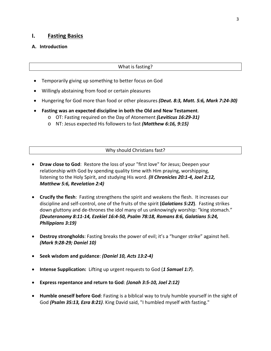#### **I. Fasting Basics**

#### **A. Introduction**

#### What is fasting?

- Temporarily giving up something to better focus on God
- Willingly abstaining from food or certain pleasures
- Hungering for God more than food or other pleasures *(Deut. 8:3, Matt. 5:6, Mark 7:24-30)*
- **Fasting was an expected discipline in both the Old and New Testament**.
	- o OT: Fasting required on the Day of Atonement *(Leviticus 16:29-31)*
	- o NT: Jesus expected His followers to fast *(Matthew 6:16, 9:15)*

Why should Christians fast?

- **Draw close to God**: Restore the loss of your "first love" for Jesus; Deepen your relationship with God by spending quality time with Him praying, worshipping, listening to the Holy Spirit, and studying His word. *(II Chronicles 20:1-4, Joel 2:12, Matthew 5:6, Revelation 2:4)*
- **Crucify the flesh**: Fasting strengthens the spirit and weakens the flesh. It increases our discipline and self-control, one of the fruits of the spirit **(***Galatians 5:22***)**. Fasting strikes down gluttony and de-thrones the idol many of us unknowingly worship: "king stomach." *(Deuteronomy 8:11-14, Ezekiel 16:4-50, Psalm 78:18, Romans 8:6, Galatians 5:24, Philippians 3:19)*
- **Destroy strongholds**: Fasting breaks the power of evil; it's a "hunger strike" against hell. *(Mark 9:28-29; Daniel 10)*
- **Seek wisdom and guidance**: *(Daniel 10, Acts 13:2-4)*
- **Intense Supplication:** Lifting up urgent requests to God (*1 Samuel 1:7*).
- **Express repentance and return to God**: *(Jonah 3:5-10, Joel 2:12)*
- **Humble oneself before God**: Fasting is a biblical way to truly humble yourself in the sight of God *(Psalm 35:13, Ezra 8:21)*. King David said, "I humbled myself with fasting."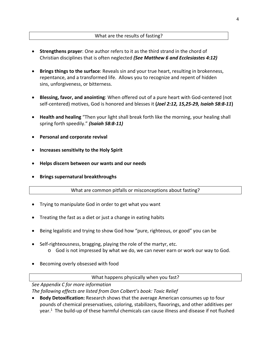#### What are the results of fasting?

- **Strengthens prayer**: One author refers to it as the third strand in the chord of Christian disciplines that is often neglected *(See Matthew 6 and Ecclesiastes 4:12)*
- **Brings things to the surface**: Reveals sin and your true heart, resulting in brokenness, repentance, and a transformed life. Allows you to recognize and repent of hidden sins, unforgiveness, or bitterness.
- **Blessing, favor, and anointing**: When offered out of a pure heart with God-centered (not self-centered) motives, God is honored and blesses it **(***Joel 2:12, 15,25-29, Isaiah 58:8-11***)**
- **Health and healing** "Then your light shall break forth like the morning, your healing shall spring forth speedily." *(Isaiah 58:8-11)*
- **Personal and corporate revival**
- **Increases sensitivity to the Holy Spirit**
- **Helps discern between our wants and our needs**
- **Brings supernatural breakthroughs**

#### What are common pitfalls or misconceptions about fasting?

- Trying to manipulate God in order to get what you want
- Treating the fast as a diet or just a change in eating habits
- Being legalistic and trying to show God how "pure, righteous, or good" you can be
- Self-righteousness, bragging, playing the role of the martyr, etc.
	- o God is not impressed by what we do, we can never earn or work our way to God.
- Becoming overly obsessed with food

#### What happens physically when you fast?

*See Appendix C for more information The following effects are listed from Don Colbert's book: Toxic Relief*

• **Body Detoxification:** Research shows that the average American consumes up to four pounds of chemical preservatives, coloring, stabilizers, flavorings, and other additives per year. <sup>1</sup> The build-up of these harmful chemicals can cause illness and disease if not flushed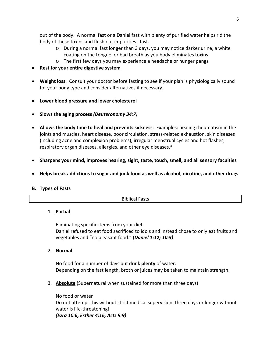out of the body. A normal fast or a Daniel fast with plenty of purified water helps rid the body of these toxins and flush out impurities. fast.

- o During a normal fast longer than 3 days, you may notice darker urine, a white coating on the tongue, or bad breath as you body eliminates toxins.
- o The first few days you may experience a headache or hunger pangs
- **Rest for your entire digestive system**
- **Weight loss**: Consult your doctor before fasting to see if your plan is physiologically sound for your body type and consider alternatives if necessary.
- **Lower blood pressure and lower cholesterol**
- **Slows the aging process** *(Deuteronomy 34:7)*
- **Allows the body time to heal and prevents sickness**:Examples: healing rheumatism in the joints and muscles, heart disease, poor circulation, stress-related exhaustion, skin diseases (including acne and complexion problems), irregular menstrual cycles and hot flashes, respiratory organ diseases, allergies, and other eye diseases.<sup>4</sup>
- **Sharpens your mind, improves hearing, sight, taste, touch, smell, and all sensory faculties**
- **Helps break addictions to sugar and junk food as well as alcohol, nicotine, and other drugs**

#### **B. Types of Fasts**

Biblical Fasts

#### 1. **Partial**

Eliminating specific items from your diet. Daniel refused to eat food sacrificed to idols and instead chose to only eat fruits and vegetables and "no pleasant food." (*Daniel 1:12; 10:3)*

2. **Normal**

No food for a number of days but drink **plenty** of water. Depending on the fast length, broth or juices may be taken to maintain strength.

3. **Absolute** (Supernatural when sustained for more than three days)

No food or water Do not attempt this without strict medical supervision, three days or longer without water is life-threatening! *(Ezra 10:6, Esther 4:16, Acts 9:9)*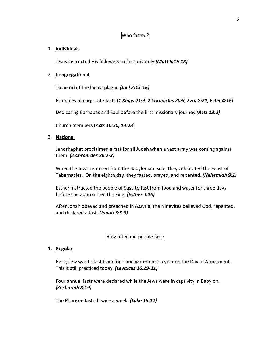## Who fasted?

#### 1. **Individuals**

Jesus instructed His followers to fast privately *(Matt 6:16-18)*

#### 2. **Congregational**

To be rid of the locust plague *(Joel 2:15-16)*

Examples of corporate fasts (*1 Kings 21:9, 2 Chronicles 20:3, Ezra 8:21, Ester 4:16*)

Dedicating Barnabas and Saul before the first missionary journey *(Acts 13:2)*

Church members (*Acts 10:30, 14:23*)

3. **National**

Jehoshaphat proclaimed a fast for all Judah when a vast army was coming against them. *(2 Chronicles 20:2-3)*

When the Jews returned from the Babylonian exile, they celebrated the Feast of Tabernacles. On the eighth day, they fasted, prayed, and repented. *(Nehemiah 9:1)*

Esther instructed the people of Susa to fast from food and water for three days before she approached the king. *(Esther 4:16)*

After Jonah obeyed and preached in Assyria, the Ninevites believed God, repented, and declared a fast. *(Jonah 3:5-8)*

#### How often did people fast?

#### **1. Regular**

Every Jew was to fast from food and water once a year on the Day of Atonement. This is still practiced today. *(Leviticus 16:29-31)*

Four annual fasts were declared while the Jews were in captivity in Babylon. *(Zechariah 8:19)*

The Pharisee fasted twice a week. *(Luke 18:12)*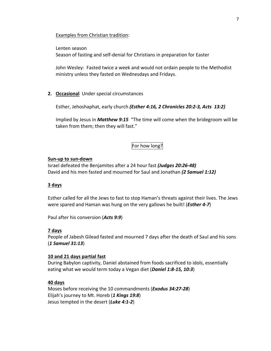#### Examples from Christian tradition:

Lenten season

Season of fasting and self-denial for Christians in preparation for Easter

John Wesley: Fasted twice a week and would not ordain people to the Methodist ministry unless they fasted on Wednesdays and Fridays.

#### **2. Occasional** Under special circumstances

Esther, Jehoshaphat, early church *(Esther 4:16, 2 Chronicles 20:2-3, Acts 13:2)*

Implied by Jesus in *Matthew 9:15* "The time will come when the bridegroom will be taken from them; then they will fast."

### For how long?

#### **Sun-up to sun-down**

Israel defeated the Benjamites after a 24 hour fast *(Judges 20:26-48)* David and his men fasted and mourned for Saul and Jonathan *(2 Samuel 1:12)*

#### **3 days**

Esther called for all the Jews to fast to stop Haman's threats against their lives. The Jews were spared and Haman was hung on the very gallows he built! (*Esther 4-7*)

Paul after his conversion (*Acts 9:9*)

#### **7 days**

People of Jabesh Gilead fasted and mourned 7 days after the death of Saul and his sons (*1 Samuel 31:13*)

#### **10 and 21 days partial fast**

During Babylon captivity, Daniel abstained from foods sacrificed to idols, essentially eating what we would term today a Vegan diet (*Daniel 1:8-15, 10:3*)

#### **40 days**

Moses before receiving the 10 commandments (*Exodus 34:27-28*) Elijah's journey to Mt. Horeb (*1 Kings 19:8*) Jesus tempted in the desert (*Luke 4:1-2*)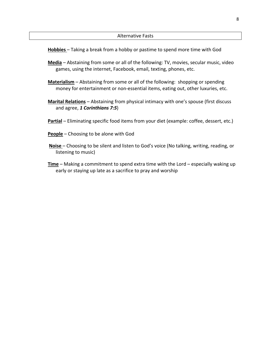#### Alternative Fasts

**Hobbies** – Taking a break from a hobby or pastime to spend more time with God

- **Media** Abstaining from some or all of the following: TV, movies, secular music, video games, using the internet, Facebook, email, texting, phones, etc.
- **Materialism** Abstaining from some or all of the following: shopping or spending money for entertainment or non-essential items, eating out, other luxuries, etc.
- **Marital Relations** Abstaining from physical intimacy with one's spouse (first discuss and agree, *1 Corinthians 7:5*)
- **Partial** Eliminating specific food items from your diet (example: coffee, dessert, etc.)
- **People** Choosing to be alone with God
- **Noise**  Choosing to be silent and listen to God's voice (No talking, writing, reading, or listening to music)
- **Time** Making a commitment to spend extra time with the Lord especially waking up early or staying up late as a sacrifice to pray and worship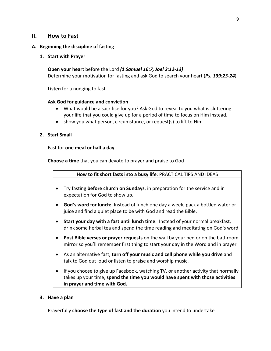#### **II. How to Fast**

#### **A. Beginning the discipline of fasting**

#### **1. Start with Prayer**

**Open your heart** before the Lord *(1 Samuel 16:7, Joel 2:12-13)* Determine your motivation for fasting and ask God to search your heart (*Ps. 139:23-24*)

**Listen** for a nudging to fast

#### **Ask God for guidance and conviction**

- What would be a sacrifice for you? Ask God to reveal to you what is cluttering your life that you could give up for a period of time to focus on Him instead.
- show you what person, circumstance, or request(s) to lift to Him

#### **2. Start Small**

Fast for **one meal or half a day**

**Choose a time** that you can devote to prayer and praise to God



- Try fasting **before church on Sundays**, in preparation for the service and in expectation for God to show up.
- **God's word for lunch:** Instead of lunch one day a week, pack a bottled water or juice and find a quiet place to be with God and read the Bible.
- **Start your day with a fast until lunch time**. Instead of your normal breakfast, drink some herbal tea and spend the time reading and meditating on God's word
- **Post Bible verses or prayer requests** on the wall by your bed or on the bathroom mirror so you'll remember first thing to start your day in the Word and in prayer
- As an alternative fast, **turn off your music and cell phone while you drive** and talk to God out loud or listen to praise and worship music.
- If you choose to give up Facebook, watching TV, or another activity that normally takes up your time, **spend the time you would have spent with those activities in prayer and time with God.**

#### **3. Have a plan**

Prayerfully **choose the type of fast and the duration** you intend to undertake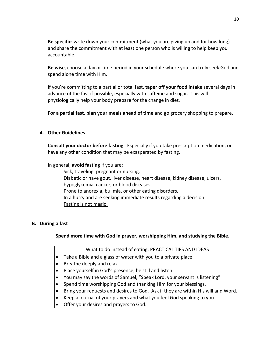**Be specific**: write down your commitment (what you are giving up and for how long) and share the commitment with at least one person who is willing to help keep you accountable.

**Be wise**, choose a day or time period in your schedule where you can truly seek God and spend alone time with Him.

If you're committing to a partial or total fast, **taper off your food intake** several days in advance of the fast if possible, especially with caffeine and sugar. This will physiologically help your body prepare for the change in diet.

**For a partial fast**, **plan your meals ahead of time** and go grocery shopping to prepare.

#### **4. Other Guidelines**

**Consult your doctor before fasting**. Especially if you take prescription medication, or have any other condition that may be exasperated by fasting.

#### In general, **avoid fasting** if you are:

Sick, traveling, pregnant or nursing. Diabetic or have gout, liver disease, heart disease, kidney disease, ulcers, hypoglycemia, cancer, or blood diseases. Prone to anorexia, bulimia, or other eating disorders. In a hurry and are seeking immediate results regarding a decision. Fasting is not magic!

#### **B. During a fast**

**Spend more time with God in prayer, worshipping Him, and studying the Bible.** 

|           | What to do instead of eating: PRACTICAL TIPS AND IDEAS                            |
|-----------|-----------------------------------------------------------------------------------|
|           | • Take a Bible and a glass of water with you to a private place                   |
| $\bullet$ | Breathe deeply and relax                                                          |
| $\bullet$ | Place yourself in God's presence, be still and listen                             |
| $\bullet$ | You may say the words of Samuel, "Speak Lord, your servant is listening"          |
| $\bullet$ | Spend time worshipping God and thanking Him for your blessings.                   |
| $\bullet$ | Bring your requests and desires to God. Ask if they are within His will and Word. |
| $\bullet$ | Keep a journal of your prayers and what you feel God speaking to you              |
| $\bullet$ | Offer your desires and prayers to God.                                            |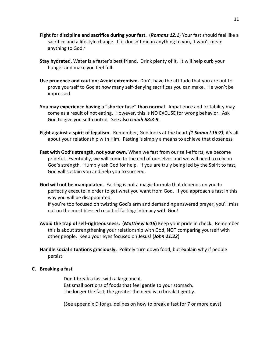- **Fight for discipline and sacrifice during your fast.** (*Romans 12:1*) Your fast should feel like a sacrifice and a lifestyle change. If it doesn't mean anything to you, it won't mean anything to God.2
- **Stay hydrated.** Water is a faster's best friend. Drink plenty of it. It will help curb your hunger and make you feel full.
- **Use prudence and caution; Avoid extremism.** Don't have the attitude that you are out to prove yourself to God at how many self-denying sacrifices you can make. He won't be impressed.
- **You may experience having a "shorter fuse" than normal**. Impatience and irritability may come as a result of not eating. However, this is NO EXCUSE for wrong behavior. Ask God to give you self-control. See also *Isaiah 58:3-9*.
- **Fight against a spirit of legalism.** Remember, God looks at the heart *(1 Samuel 16:7)*; it's all about your relationship with Him. Fasting is simply a means to achieve that closeness.
- **Fast with God's strength, not your own.** When we fast from our self-efforts, we become prideful. Eventually, we will come to the end of ourselves and we will need to rely on God's strength. Humbly ask God for help. If you are truly being led by the Spirit to fast, God will sustain you and help you to succeed.
- **God will not be manipulated**. Fasting is not a magic formula that depends on you to perfectly execute in order to get what you want from God. If you approach a fast in this way you will be disappointed.

If you're too focused on twisting God's arm and demanding answered prayer, you'll miss out on the most blessed result of fasting: intimacy with God!

- **Avoid the trap of self-righteousness. (***Matthew 6:16***)** Keep your pride in check. Remember this is about strengthening your relationship with God, NOT comparing yourself with other people. Keep your eyes focused on Jesus! (*John 21:22*)
- **Handle social situations graciously.** Politely turn down food, but explain why if people persist.

#### **C. Breaking a fast**

Don't break a fast with a large meal. Eat small portions of foods that feel gentle to your stomach. The longer the fast, the greater the need is to break it gently.

(See appendix D for guidelines on how to break a fast for 7 or more days)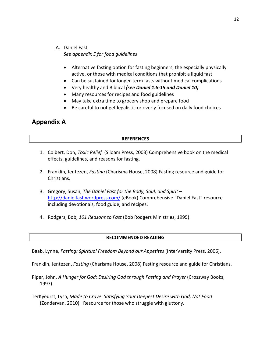- A. Daniel Fast *See appendix E for food guidelines*
	- Alternative fasting option for fasting beginners, the especially physically active, or those with medical conditions that prohibit a liquid fast
	- Can be sustained for longer-term fasts without medical complications
	- Very healthy and Biblical *(see Daniel 1:8-15 and Daniel 10)*
	- Many resources for recipes and food guidelines
	- May take extra time to grocery shop and prepare food
	- Be careful to not get legalistic or overly focused on daily food choices

## **Appendix A**

#### **REFERENCES**

- 1. Colbert, Don, *Toxic Relief* (Siloam Press, 2003) Comprehensive book on the medical effects, guidelines, and reasons for fasting.
- 2. Franklin, Jentezen, *Fasting* (Charisma House, 2008) Fasting resource and guide for Christians.
- 3. Gregory, Susan, *The Daniel Fast for the Body, Soul, and Spirit* <http://danielfast.wordpress.com/> (eBook) Comprehensive "Daniel Fast" resource including devotionals, food guide, and recipes.
- 4. Rodgers, Bob, *101 Reasons to Fast* (Bob Rodgers Ministries, 1995)

#### **RECOMMENDED READING**

Baab, Lynne, *Fasting: Spiritual Freedom Beyond our Appetites* (InterVarsity Press, 2006).

Franklin, Jentezen, *Fasting* (Charisma House, 2008) Fasting resource and guide for Christians.

Piper, John, *A Hunger for God: Desiring God through Fasting and Prayer* (Crossway Books, 1997).

TerKyeurst, Lysa, *Made to Crave: Satisfying Your Deepest Desire with God, Not Food* (Zondervan, 2010). Resource for those who struggle with gluttony.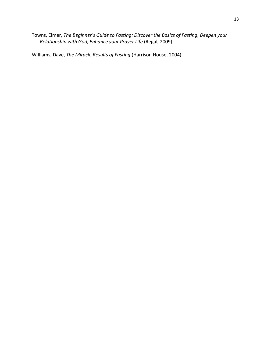Towns, Elmer, *The Beginner's Guide to Fasting: Discover the Basics of Fasting, Deepen your Relationship with God, Enhance your Prayer Life* (Regal, 2009).

Williams, Dave, *The Miracle Results of Fasting* (Harrison House, 2004).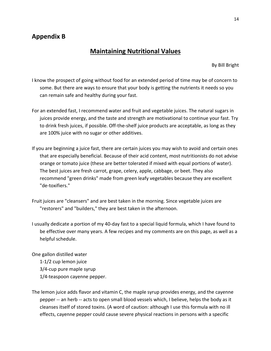## **Appendix [B](#page-1-0)**

## **Maintaining Nutritional Values**

By Bill Bright

- I know the prospect of going without food for an extended period of time may be of concern to some. But there are ways to ensure that your body is getting the nutrients it needs so you can remain safe and healthy during your fast.
- For an extended fast, I recommend water and fruit and vegetable juices. The natural sugars in juices provide energy, and the taste and strength are motivational to continue your fast. Try to drink fresh juices, if possible. Off-the-shelf juice products are acceptable, as long as they are 100% juice with no sugar or other additives.
- If you are beginning a juice fast, there are certain juices you may wish to avoid and certain ones that are especially beneficial. Because of their acid content, most nutritionists do not advise orange or tomato juice (these are better tolerated if mixed with equal portions of water). The best juices are fresh carrot, grape, celery, apple, cabbage, or beet. They also recommend "green drinks" made from green leafy vegetables because they are excellent "de-toxifiers."
- Fruit juices are "cleansers" and are best taken in the morning. Since vegetable juices are "restorers" and "builders," they are best taken in the afternoon.
- I usually dedicate a portion of my 40-day fast to a special liquid formula, which I have found to be effective over many years. A few recipes and my comments are on this page, as well as a helpful schedule.

One gallon distilled water 1-1/2 cup lemon juice 3/4-cup pure maple syrup 1/4-teaspoon cayenne pepper.

The lemon juice adds flavor and vitamin C, the maple syrup provides energy, and the cayenne pepper -- an herb -- acts to open small blood vessels which, I believe, helps the body as it cleanses itself of stored toxins. (A word of caution: although I use this formula with no ill effects, cayenne pepper could cause severe physical reactions in persons with a specific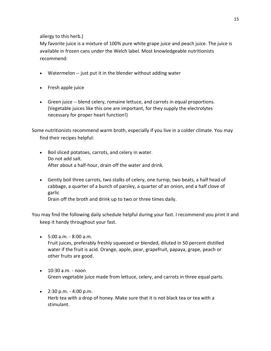allergy to this herb.)

My favorite juice is a mixture of 100% pure white grape juice and peach juice. The juice is available in frozen cans under the Welch label. Most knowledgeable nutritionists recommend:

- Watermelon -- just put it in the blender without adding water
- Fresh apple juice
- Green juice -- blend celery, romaine lettuce, and carrots in equal proportions. (Vegetable juices like this one are important, for they supply the electrolytes necessary for proper heart function!)

Some nutritionists recommend warm broth, especially if you live in a colder climate. You may find their recipes helpful:

- Boil sliced potatoes, carrots, and celery in water. Do not add salt. After about a half-hour, drain off the water and drink.
- Gently boil three carrots, two stalks of celery, one turnip, two beats, a half head of cabbage, a quarter of a bunch of parsley, a quarter of an onion, and a half clove of garlic

Drain off the broth and drink up to two or three times daily.

You may find the following daily schedule helpful during your fast. I recommend you print it and keep it handy throughout your fast.

• 5:00 a.m. - 8:00 a.m.

Fruit juices, preferably freshly squeezed or blended, diluted in 50 percent distilled water if the fruit is acid. Orange, apple, pear, grapefruit, papaya, grape, peach or other fruits are good.

- 10:30 a.m. noon Green vegetable juice made from lettuce, celery, and carrots in three equal parts.
- $2:30 \text{ p.m.} 4:00 \text{ p.m.}$ Herb tea with a drop of honey. Make sure that it is not black tea or tea with a stimulant.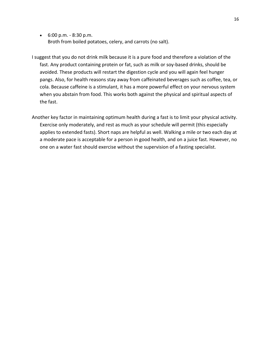• 6:00 p.m. - 8:30 p.m. Broth from boiled potatoes, celery, and carrots (no salt).

I suggest that you do not drink milk because it is a pure food and therefore a violation of the fast. Any product containing protein or fat, such as milk or soy-based drinks, should be avoided. These products will restart the digestion cycle and you will again feel hunger pangs. Also, for health reasons stay away from caffeinated beverages such as coffee, tea, or cola. Because caffeine is a stimulant, it has a more powerful effect on your nervous system when you abstain from food. This works both against the physical and spiritual aspects of the fast.

Another key factor in maintaining optimum health during a fast is to limit your physical activity. Exercise only moderately, and rest as much as your schedule will permit (this especially applies to extended fasts). Short naps are helpful as well. Walking a mile or two each day at a moderate pace is acceptable for a person in good health, and on a juice fast. However, no one on a water fast should exercise without the supervision of a fasting specialist.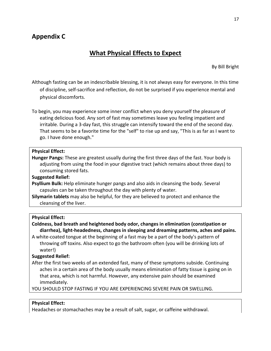# **Appendix [C](#page-1-1)**

# **What Physical Effects to Expect**

By Bill Bright

- Although fasting can be an indescribable blessing, it is not always easy for everyone. In this time of discipline, self-sacrifice and reflection, do not be surprised if you experience mental and physical discomforts.
- To begin, you may experience some inner conflict when you deny yourself the pleasure of eating delicious food. Any sort of fast may sometimes leave you feeling impatient and irritable. During a 3-day fast, this struggle can intensify toward the end of the second day. That seems to be a favorite time for the "self" to rise up and say, "This is as far as I want to go. I have done enough."

#### **Physical Effect:**

**Hunger Pangs:** These are greatest usually during the first three days of the fast. Your body is adjusting from using the food in your digestive tract (which remains about three days) to consuming stored fats.

#### **Suggested Relief:**

**Psyllium Bulk:** Help eliminate hunger pangs and also aids in cleansing the body. Several capsules can be taken throughout the day with plenty of water.

**Silymarin tablets** may also be helpful, for they are believed to protect and enhance the cleansing of the liver.

#### **Physical Effect:**

**Coldness, bad breath and heightened body odor, changes in elimination (constipation or diarrhea), light-headedness, changes in sleeping and dreaming patterns, aches and pains.**

A white-coated tongue at the beginning of a fast may be a part of the body's pattern of throwing off toxins. Also expect to go the bathroom often (you will be drinking lots of water!)

#### **Suggested Relief:**

After the first two weeks of an extended fast, many of these symptoms subside. Continuing aches in a certain area of the body usually means elimination of fatty tissue is going on in that area, which is not harmful. However, any extensive pain should be examined immediately.

YOU SHOULD STOP FASTING IF YOU ARE EXPERIENCING SEVERE PAIN OR SWELLING.

#### **Physical Effect:**

Headaches or stomachaches may be a result of salt, sugar, or caffeine withdrawal.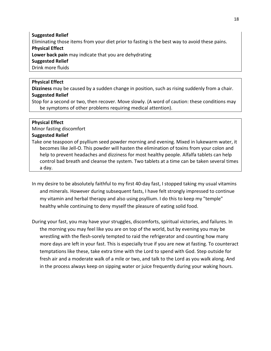#### **Suggested Relief**

Eliminating those items from your diet prior to fasting is the best way to avoid these pains. **Physical Effect Lower back pain** may indicate that you are dehydrating **Suggested Relief**

Drink more fluids

#### **Physical Effect**

**Dizziness** may be caused by a sudden change in position, such as rising suddenly from a chair. **Suggested Relief**

Stop for a second or two, then recover. Move slowly. (A word of caution: these conditions may be symptoms of other problems requiring medical attention).

#### **Physical Effect**

Minor fasting discomfort **Suggested Relief**

Take one teaspoon of psyllium seed powder morning and evening. Mixed in lukewarm water, it becomes like Jell-O. This powder will hasten the elimination of toxins from your colon and help to prevent headaches and dizziness for most healthy people. Alfalfa tablets can help control bad breath and cleanse the system. Two tablets at a time can be taken several times a day.

In my desire to be absolutely faithful to my first 40-day fast, I stopped taking my usual vitamins and minerals. However during subsequent fasts, I have felt strongly impressed to continue my vitamin and herbal therapy and also using psyllium. I do this to keep my "temple" healthy while continuing to deny myself the pleasure of eating solid food.

During your fast, you may have your struggles, discomforts, spiritual victories, and failures. In the morning you may feel like you are on top of the world, but by evening you may be wrestling with the flesh-sorely tempted to raid the refrigerator and counting how many more days are left in your fast. This is especially true if you are new at fasting. To counteract temptations like these, take extra time with the Lord to spend with God. Step outside for fresh air and a moderate walk of a mile or two, and talk to the Lord as you walk along. And in the process always keep on sipping water or juice frequently during your waking hours.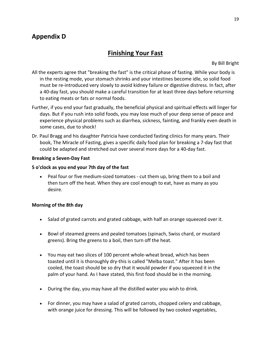# **Appendix [D](#page-1-2)**

# **Finishing Your Fast**

By Bill Bright

- All the experts agree that "breaking the fast" is the critical phase of fasting. While your body is in the resting mode, your stomach shrinks and your intestines become idle, so solid food must be re-introduced very slowly to avoid kidney failure or digestive distress. In fact, after a 40-day fast, you should make a careful transition for at least three days before returning to eating meats or fats or normal foods.
- Further, if you end your fast gradually, the beneficial physical and spiritual effects will linger for days. But if you rush into solid foods, you may lose much of your deep sense of peace and experience physical problems such as diarrhea, sickness, fainting, and frankly even death in some cases, due to shock!
- Dr. Paul Bragg and his daughter Patricia have conducted fasting clinics for many years. Their book, The Miracle of Fasting, gives a specific daily food plan for breaking a 7-day fast that could be adapted and stretched out over several more days for a 40-day fast.

#### **Breaking a Seven-Day Fast**

#### **5 o'clock as you end your 7th day of the fast**

• Peal four or five medium-sized tomatoes - cut them up, bring them to a boil and then turn off the heat. When they are cool enough to eat, have as many as you desire.

#### **Morning of the 8th day**

- Salad of grated carrots and grated cabbage, with half an orange squeezed over it.
- Bowl of steamed greens and pealed tomatoes (spinach, Swiss chard, or mustard greens). Bring the greens to a boil, then turn off the heat.
- You may eat two slices of 100 percent whole-wheat bread, which has been toasted until it is thoroughly dry-this is called "Melba toast." After it has been cooled, the toast should be so dry that it would powder if you squeezed it in the palm of your hand. As I have stated, this first food should be in the morning.
- During the day, you may have all the distilled water you wish to drink.
- For dinner, you may have a salad of grated carrots, chopped celery and cabbage, with orange juice for dressing. This will be followed by two cooked vegetables,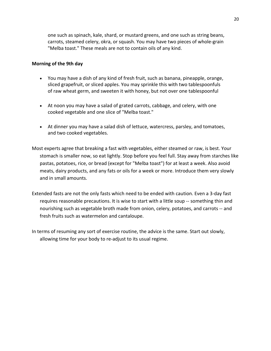one such as spinach, kale, shard, or mustard greens, and one such as string beans, carrots, steamed celery, okra, or squash. You may have two pieces of whole-grain "Melba toast." These meals are not to contain oils of any kind.

#### **Morning of the 9th day**

- You may have a dish of any kind of fresh fruit, such as banana, pineapple, orange, sliced grapefruit, or sliced apples. You may sprinkle this with two tablespoonfuls of raw wheat germ, and sweeten it with honey, but not over one tablespoonful
- At noon you may have a salad of grated carrots, cabbage, and celery, with one cooked vegetable and one slice of "Melba toast."
- At dinner you may have a salad dish of lettuce, watercress, parsley, and tomatoes, and two cooked vegetables.
- Most experts agree that breaking a fast with vegetables, either steamed or raw, is best. Your stomach is smaller now, so eat lightly. Stop before you feel full. Stay away from starches like pastas, potatoes, rice, or bread (except for "Melba toast") for at least a week. Also avoid meats, dairy products, and any fats or oils for a week or more. Introduce them very slowly and in small amounts.
- Extended fasts are not the only fasts which need to be ended with caution. Even a 3-day fast requires reasonable precautions. It is wise to start with a little soup -- something thin and nourishing such as vegetable broth made from onion, celery, potatoes, and carrots -- and fresh fruits such as watermelon and cantaloupe.
- In terms of resuming any sort of exercise routine, the advice is the same. Start out slowly, allowing time for your body to re-adjust to its usual regime.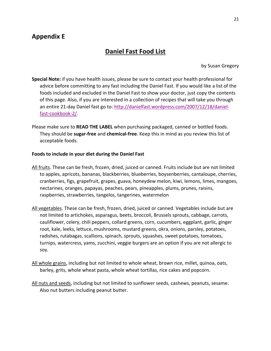## **Appendix [E](#page-1-3)**

## **Daniel Fast Food List**

by Susan Gregory

- **Special Note:** if you have health issues, please be sure to contact your health professional for advice before committing to any fast including the Daniel Fast. If you would like a list of the foods included and excluded in the Daniel Fast to show your doctor, just copy the contents of this page. Also, if you are interested in a collection of recipes that will take you through an entire 21-day Daniel fast go to: [http://danielfast.wordpress.com/2007/12/18/daniel](http://danielfast.wordpress.com/2007/12/18/daniel-fast-cookbook-2/)[fast-cookbook-2/.](http://danielfast.wordpress.com/2007/12/18/daniel-fast-cookbook-2/)
- Please make sure to **READ THE LABEL** when purchasing packaged, canned or bottled foods. They should be **sugar-free** and **chemical-free**. Keep this in mind as you review this list of acceptable foods.

#### **Foods to include in your diet during the Daniel Fast**

- All fruits. These can be fresh, frozen, dried, juiced or canned. Fruits include but are not limited to apples, apricots, bananas, blackberries, blueberries, boysenberries, cantaloupe, cherries, cranberries, figs, grapefruit, grapes, guava, honeydew melon, kiwi, lemons, limes, mangoes, nectarines, oranges, papayas, peaches, pears, pineapples, plums, prunes, raisins, raspberries, strawberries, tangelos, tangerines, watermelon
- All vegetables. These can be fresh, frozen, dried, juiced or canned. Vegetables include but are not limited to artichokes, asparagus, beets, broccoli, Brussels sprouts, cabbage, carrots, cauliflower, celery, chili peppers, collard greens, corn, cucumbers, eggplant, garlic, ginger root, kale, leeks, lettuce, mushrooms, mustard greens, okra, onions, parsley, potatoes, radishes, rutabagas, scallions, spinach, sprouts, squashes, sweet potatoes, tomatoes, turnips, watercress, yams, zucchini, veggie burgers are an option if you are not allergic to soy.
- All whole grains, including but not limited to whole wheat, brown rice, millet, quinoa, oats, barley, grits, whole wheat pasta, whole wheat tortillas, rice cakes and popcorn.
- All nuts and seeds, including but not limited to sunflower seeds, cashews, peanuts, sesame. Also nut butters including peanut butter.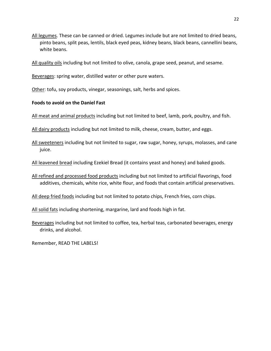All legumes. These can be canned or dried. Legumes include but are not limited to dried beans, pinto beans, split peas, lentils, black eyed peas, kidney beans, black beans, cannellini beans, white beans.

All quality oils including but not limited to olive, canola, grape seed, peanut, and sesame.

Beverages: spring water, distilled water or other pure waters.

Other: tofu, soy products, vinegar, seasonings, salt, herbs and spices.

#### **Foods to avoid on the Daniel Fast**

All meat and animal products including but not limited to beef, lamb, pork, poultry, and fish.

All dairy products including but not limited to milk, cheese, cream, butter, and eggs.

- All sweeteners including but not limited to sugar, raw sugar, honey, syrups, molasses, and cane juice.
- All leavened bread including Ezekiel Bread (it contains yeast and honey) and baked goods.
- All refined and processed food products including but not limited to artificial flavorings, food additives, chemicals, white rice, white flour, and foods that contain artificial preservatives.
- All deep fried foods including but not limited to potato chips, French fries, corn chips.
- All solid fats including shortening, margarine, lard and foods high in fat.
- Beverages including but not limited to coffee, tea, herbal teas, carbonated beverages, energy drinks, and alcohol.

Remember, READ THE LABELS!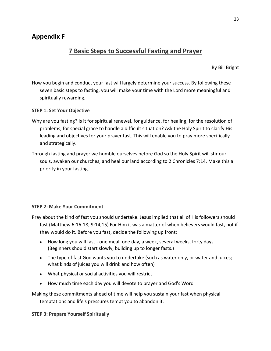## **Appendix [F](#page-1-4)**

# **7 Basic Steps to Successful Fasting and Prayer**

By Bill Bright

How you begin and conduct your fast will largely determine your success. By following these seven basic steps to fasting, you will make your time with the Lord more meaningful and spiritually rewarding.

#### **STEP 1: Set Your Objective**

- Why are you fasting? Is it for spiritual renewal, for guidance, for healing, for the resolution of problems, for special grace to handle a difficult situation? Ask the Holy Spirit to clarify His leading and objectives for your prayer fast. This will enable you to pray more specifically and strategically.
- Through fasting and prayer we humble ourselves before God so the Holy Spirit will stir our souls, awaken our churches, and heal our land according to 2 Chronicles 7:14. Make this a priority in your fasting.

#### **STEP 2: Make Your Commitment**

- Pray about the kind of fast you should undertake. Jesus implied that all of His followers should fast (Matthew 6:16-18; 9:14,15) For Him it was a matter of when believers would fast, not if they would do it. Before you fast, decide the following up front:
	- How long you will fast one meal, one day, a week, several weeks, forty days (Beginners should start slowly, building up to longer fasts.)
	- The type of fast God wants you to undertake (such as water only, or water and juices; what kinds of juices you will drink and how often)
	- What physical or social activities you will restrict
	- How much time each day you will devote to prayer and God's Word

Making these commitments ahead of time will help you sustain your fast when physical temptations and life's pressures tempt you to abandon it.

#### **STEP 3: Prepare Yourself Spiritually**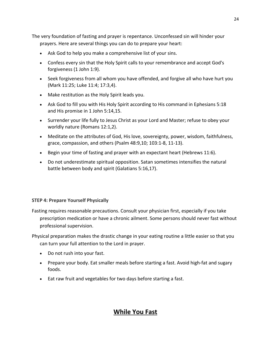The very foundation of fasting and prayer is repentance. Unconfessed sin will hinder your prayers. Here are several things you can do to prepare your heart:

- Ask God to help you make a comprehensive list of your sins.
- Confess every sin that the Holy Spirit calls to your remembrance and accept God's forgiveness (1 John 1:9).
- Seek forgiveness from all whom you have offended, and forgive all who have hurt you (Mark 11:25; Luke 11:4; 17:3,4).
- Make restitution as the Holy Spirit leads you.
- Ask God to fill you with His Holy Spirit according to His command in Ephesians 5:18 and His promise in 1 John 5:14,15.
- Surrender your life fully to Jesus Christ as your Lord and Master; refuse to obey your worldly nature (Romans 12:1,2).
- Meditate on the attributes of God, His love, sovereignty, power, wisdom, faithfulness, grace, compassion, and others (Psalm 48:9,10; 103:1-8, 11-13).
- Begin your time of fasting and prayer with an expectant heart (Hebrews 11:6).
- Do not underestimate spiritual opposition. Satan sometimes intensifies the natural battle between body and spirit (Galatians 5:16,17).

#### **STEP 4: Prepare Yourself Physically**

Fasting requires reasonable precautions. Consult your physician first, especially if you take prescription medication or have a chronic ailment. Some persons should never fast without professional supervision.

Physical preparation makes the drastic change in your eating routine a little easier so that you can turn your full attention to the Lord in prayer.

- Do not rush into your fast.
- Prepare your body. Eat smaller meals before starting a fast. Avoid high-fat and sugary foods.
- Eat raw fruit and vegetables for two days before starting a fast.

## **[While You Fast](http://www.ccci.org/training-and-growth/devotional-life/7-steps-to-fasting/03-while-you-fast.htm)**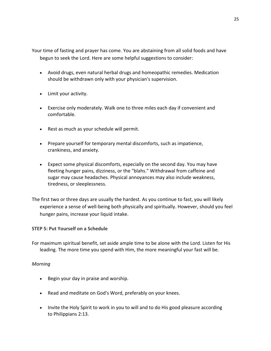Your time of fasting and prayer has come. You are abstaining from all solid foods and have begun to seek the Lord. Here are some helpful suggestions to consider:

- Avoid drugs, even natural herbal drugs and homeopathic remedies. Medication should be withdrawn only with your physician's supervision.
- Limit your activity.
- Exercise only moderately. Walk one to three miles each day if convenient and comfortable.
- Rest as much as your schedule will permit.
- Prepare yourself for temporary mental discomforts, such as impatience, crankiness, and anxiety.
- Expect some physical discomforts, especially on the second day. You may have fleeting hunger pains, dizziness, or the "blahs." Withdrawal from caffeine and sugar may cause headaches. Physical annoyances may also include weakness, tiredness, or sleeplessness.

The first two or three days are usually the hardest. As you continue to fast, you will likely experience a sense of well-being both physically and spiritually. However, should you feel hunger pains, increase your liquid intake.

#### **STEP 5: Put Yourself on a Schedule**

For maximum spiritual benefit, set aside ample time to be alone with the Lord. Listen for His leading. The more time you spend with Him, the more meaningful your fast will be.

#### *Morning*

- Begin your day in praise and worship.
- Read and meditate on God's Word, preferably on your knees.
- Invite the Holy Spirit to work in you to will and to do His good pleasure according to Philippians 2:13.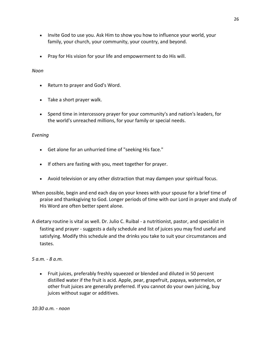- Invite God to use you. Ask Him to show you how to influence your world, your family, your church, your community, your country, and beyond.
- Pray for His vision for your life and empowerment to do His will.

#### *Noon*

- Return to prayer and God's Word.
- Take a short prayer walk.
- Spend time in intercessory prayer for your community's and nation's leaders, for the world's unreached millions, for your family or special needs.

#### *Evening*

- Get alone for an unhurried time of "seeking His face."
- If others are fasting with you, meet together for prayer.
- Avoid television or any other distraction that may dampen your spiritual focus.

When possible, begin and end each day on your knees with your spouse for a brief time of praise and thanksgiving to God. Longer periods of time with our Lord in prayer and study of His Word are often better spent alone.

A dietary routine is vital as well. Dr. Julio C. Ruibal - a nutritionist, pastor, and specialist in fasting and prayer - suggests a daily schedule and list of juices you may find useful and satisfying. Modify this schedule and the drinks you take to suit your circumstances and tastes.

*5 a.m. - 8 a.m.*

• Fruit juices, preferably freshly squeezed or blended and diluted in 50 percent distilled water if the fruit is acid. Apple, pear, grapefruit, papaya, watermelon, or other fruit juices are generally preferred. If you cannot do your own juicing, buy juices without sugar or additives.

*10:30 a.m. - noon*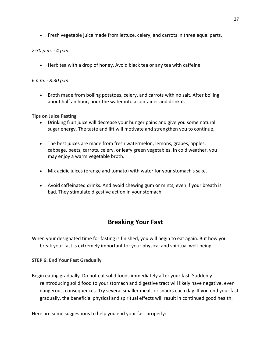• Fresh vegetable juice made from lettuce, celery, and carrots in three equal parts.

#### *2:30 p.m. - 4 p.m.*

• Herb tea with a drop of honey. Avoid black tea or any tea with caffeine.

#### *6 p.m. - 8:30 p.m.*

• Broth made from boiling potatoes, celery, and carrots with no salt. After boiling about half an hour, pour the water into a container and drink it.

**Tips on Juice Fasting**

- Drinking fruit juice will decrease your hunger pains and give you some natural sugar energy. The taste and lift will motivate and strengthen you to continue.
- The best juices are made from fresh watermelon, lemons, grapes, apples, cabbage, beets, carrots, celery, or leafy green vegetables. In cold weather, you may enjoy a warm vegetable broth.
- Mix acidic juices (orange and tomato) with water for your stomach's sake.
- Avoid caffeinated drinks. And avoid chewing gum or mints, even if your breath is bad. They stimulate digestive action in your stomach.

## **[Breaking Your Fast](http://www.ccci.org/training-and-growth/devotional-life/7-steps-to-fasting/04-breaking-your-fast.htm)**

When your designated time for fasting is finished, you will begin to eat again. But how you break your fast is extremely important for your physical and spiritual well-being.

#### **STEP 6: End Your Fast Gradually**

Begin eating gradually. Do not eat solid foods immediately after your fast. Suddenly reintroducing solid food to your stomach and digestive tract will likely have negative, even dangerous, consequences. Try several smaller meals or snacks each day. If you end your fast gradually, the beneficial physical and spiritual effects will result in continued good health.

Here are some suggestions to help you end your fast properly: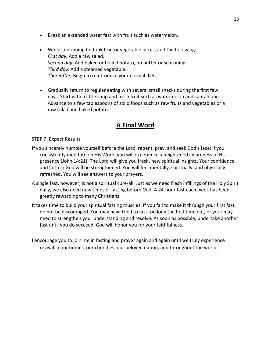- Break an extended water fast with fruit such as watermelon.
- While continuing to drink fruit or vegetable juices, add the following: *First day:* Add a raw salad. *Second day*: Add baked or boiled potato, no butter or seasoning. *Third day*: Add a steamed vegetable. *Thereafter*: Begin to reintroduce your normal diet.
- Gradually return to regular eating with several small snacks during the first few days. Start with a little soup and fresh fruit such as watermelon and cantaloupe. Advance to a few tablespoons of solid foods such as raw fruits and vegetables or a raw salad and baked potato.

## **[A Final Word](http://www.ccci.org/training-and-growth/devotional-life/7-steps-to-fasting/05-final-word.htm)**

#### **STEP 7: Expect Results**

- If you sincerely humble yourself before the Lord, repent, pray, and seek God's face; if you consistently meditate on His Word, you will experience a heightened awareness of His presence (John 14:21). The Lord will give you fresh, new spiritual insights. Your confidence and faith in God will be strengthened. You will feel mentally, spiritually, and physically refreshed. You will see answers to your prayers.
- A single fast, however, is not a spiritual cure-all. Just as we need fresh infillings of the Holy Spirit daily, we also need new times of fasting before God. A 24-hour fast each week has been greatly rewarding to many Christians.
- It takes time to build your spiritual fasting muscles. If you fail to make it through your first fast, do not be discouraged. You may have tried to fast too long the first time out, or your may need to strengthen your understanding and resolve. As soon as possible, undertake another fast until you do succeed. God will honor you for your faithfulness.

I encourage you to join me in fasting and prayer again and again until we truly experience revival in our homes, our churches, our beloved nation, and throughout the world.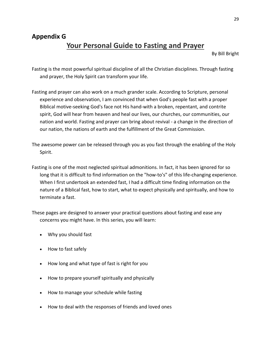# **Appendix [G](#page-1-5)**

# **Your Personal Guide to Fasting and Prayer**

By Bill Bright

- Fasting is the most powerful spiritual discipline of all the Christian disciplines. Through fasting and prayer, the Holy Spirit can transform your life.
- Fasting and prayer can also work on a much grander scale. According to Scripture, personal experience and observation, I am convinced that when God's people fast with a proper Biblical motive-seeking God's face not His hand-with a broken, repentant, and contrite spirit, God will hear from heaven and heal our lives, our churches, our communities, our nation and world. Fasting and prayer can bring about revival - a change in the direction of our nation, the nations of earth and the fulfillment of the Great Commission.
- The awesome power can be released through you as you fast through the enabling of the Holy Spirit.
- Fasting is one of the most neglected spiritual admonitions. In fact, it has been ignored for so long that it is difficult to find information on the "how-to's" of this life-changing experience. When I first undertook an extended fast, I had a difficult time finding information on the nature of a Biblical fast, how to start, what to expect physically and spiritually, and how to terminate a fast.

These pages are designed to answer your practical questions about fasting and ease any concerns you might have. In this series, you will learn:

- Why you should fast
- How to fast safely
- How long and what type of fast is right for you
- How to prepare yourself spiritually and physically
- How to manage your schedule while fasting
- How to deal with the responses of friends and loved ones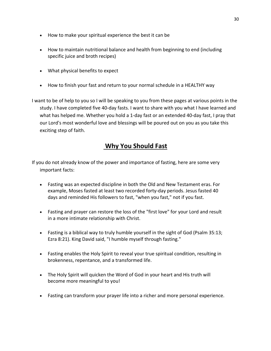- How to make your spiritual experience the best it can be
- How to maintain nutritional balance and health from beginning to end (including specific juice and broth recipes)
- What physical benefits to expect
- How to finish your fast and return to your normal schedule in a HEALTHY way

I want to be of help to you so I will be speaking to you from these pages at various points in the study. I have completed five 40-day fasts. I want to share with you what I have learned and what has helped me. Whether you hold a 1-day fast or an extended 40-day fast, I pray that our Lord's most wonderful love and blessings will be poured out on you as you take this exciting step of faith.

# **[Why You Should Fast](http://www.ccci.org/training-and-growth/devotional-life/personal-guide-to-fasting/02-why-you-should-fast.htm)**

If you do not already know of the power and importance of fasting, here are some very important facts:

- Fasting was an expected discipline in both the Old and New Testament eras. For example, Moses fasted at least two recorded forty-day periods. Jesus fasted 40 days and reminded His followers to fast, "when you fast," not if you fast.
- Fasting and prayer can restore the loss of the "first love" for your Lord and result in a more intimate relationship with Christ.
- Fasting is a biblical way to truly humble yourself in the sight of God (Psalm 35:13; Ezra 8:21). King David said, "I humble myself through fasting."
- Fasting enables the Holy Spirit to reveal your true spiritual condition, resulting in brokenness, repentance, and a transformed life.
- The Holy Spirit will quicken the Word of God in your heart and His truth will become more meaningful to you!
- Fasting can transform your prayer life into a richer and more personal experience.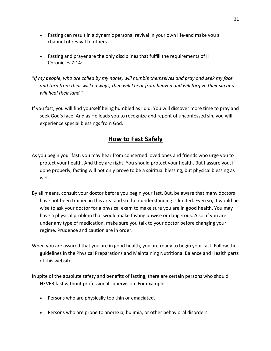- Fasting can result in a dynamic personal revival in your own life-and make you a channel of revival to others.
- Fasting and prayer are the only disciplines that fulfill the requirements of II Chronicles 7:14:
- *"If my people, who are called by my name, will humble themselves and pray and seek my face and turn from their wicked ways, then will I hear from heaven and will forgive their sin and will heal their land."*
- If you fast, you will find yourself being humbled as I did. You will discover more time to pray and seek God's face. And as He leads you to recognize and repent of unconfessed sin, you will experience special blessings from God.

# **[How to Fast Safely](http://www.ccci.org/training-and-growth/devotional-life/personal-guide-to-fasting/03-how-to-fast-safely.htm)**

- As you begin your fast, you may hear from concerned loved ones and friends who urge you to protect your health. And they are right. You should protect your health. But I assure you, if done properly, fasting will not only prove to be a spiritual blessing, but physical blessing as well.
- By all means, consult your doctor before you begin your fast. But, be aware that many doctors have not been trained in this area and so their understanding is limited. Even so, it would be wise to ask your doctor for a physical exam to make sure you are in good health. You may have a physical problem that would make fasting unwise or dangerous. Also, if you are under any type of medication, make sure you talk to your doctor before changing your regime. Prudence and caution are in order.
- When you are assured that you are in good health, you are ready to begin your fast. Follow the guidelines in the Physical Preparations and Maintaining Nutritional Balance and Health parts of this website.
- In spite of the absolute safety and benefits of fasting, there are certain persons who should NEVER fast without professional supervision. For example:
	- Persons who are physically too thin or emaciated.
	- Persons who are prone to anorexia, bulimia, or other behavioral disorders.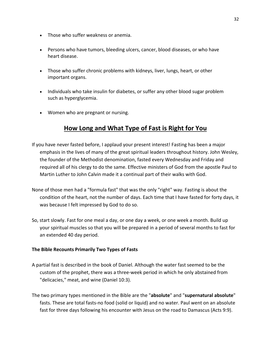- Those who suffer weakness or anemia.
- Persons who have tumors, bleeding ulcers, cancer, blood diseases, or who have heart disease.
- Those who suffer chronic problems with kidneys, liver, lungs, heart, or other important organs.
- Individuals who take insulin for diabetes, or suffer any other blood sugar problem such as hyperglycemia.
- Women who are pregnant or nursing.

# **[How Long and What Type of Fast is Right for You](http://www.ccci.org/training-and-growth/devotional-life/personal-guide-to-fasting/04-how-long-and-what-type.htm)**

- If you have never fasted before, I applaud your present interest! Fasting has been a major emphasis in the lives of many of the great spiritual leaders throughout history. John Wesley, the founder of the Methodist denomination, fasted every Wednesday and Friday and required all of his clergy to do the same. Effective ministers of God from the apostle Paul to Martin Luther to John Calvin made it a continual part of their walks with God.
- None of those men had a "formula fast" that was the only "right" way. Fasting is about the condition of the heart, not the number of days. Each time that I have fasted for forty days, it was because I felt impressed by God to do so.
- So, start slowly. Fast for one meal a day, or one day a week, or one week a month. Build up your spiritual muscles so that you will be prepared in a period of several months to fast for an extended 40 day period.

#### **The Bible Recounts Primarily Two Types of Fasts**

- A partial fast is described in the book of Daniel. Although the water fast seemed to be the custom of the prophet, there was a three-week period in which he only abstained from "delicacies," meat, and wine (Daniel 10:3).
- The two primary types mentioned in the Bible are the "**absolute**" and "**supernatural absolute**" fasts. These are total fasts-no food (solid or liquid) and no water. Paul went on an absolute fast for three days following his encounter with Jesus on the road to Damascus (Acts 9:9).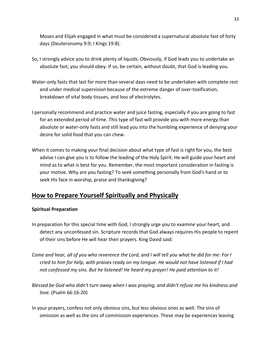Moses and Elijah engaged in what must be considered a supernatural absolute fast of forty days (Deuteronomy 9:9; I Kings 19:8).

- So, I strongly advice you to drink plenty of liquids. Obviously, if God leads you to undertake an absolute fast, you should obey. If so, be certain, without doubt, that God is leading you.
- Water-only fasts that last for more than several days need to be undertaken with complete rest and under medical supervision because of the extreme danger of over-toxification, breakdown of vital body tissues, and loss of electrolytes.
- I personally recommend and practice water and juice fasting, especially if you are going to fast for an extended period of time. This type of fast will provide you with more energy than absolute or water-only fasts and still lead you into the humbling experience of denying your desire for solid food that you can chew.
- When it comes to making your final decision about what type of fast is right for you, the best advise I can give you is to follow the leading of the Holy Spirit. He will guide your heart and mind as to what is best for you. Remember, the most important consideration in fasting is your motive. Why are you fasting? To seek something personally from God's hand or to seek His face in worship, praise and thanksgiving?

## **[How to Prepare Yourself Spiritually and Physically](http://www.ccci.org/training-and-growth/devotional-life/personal-guide-to-fasting/05-spiritual-and-physical-preparation.htm)**

#### **Spiritual Preparation**

- In preparation for this special time with God, I strongly urge you to examine your heart, and detect any unconfessed sin. Scripture records that God always requires His people to repent of their sins before He will hear their prayers. King David said:
- *Come and hear, all of you who reverence the Lord, and I will tell you what he did for me: For I cried to him for help, with praises ready on my tongue. He would not have listened if I had not confessed my sins. But he listened! He heard my prayer! He paid attention to it!*
- *Blessed be God who didn't turn away when I was praying, and didn't refuse me his kindness and love.* (Psalm 66:16-20)
- In your prayers, confess not only obvious sins, but less obvious ones as well. The sins of omission as well as the sins of commission experiences. These may be experiences leaving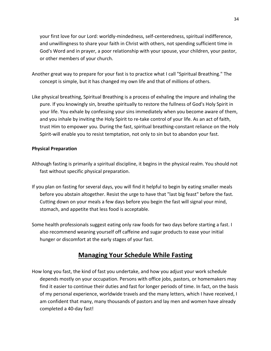your first love for our Lord: worldly-mindedness, self-centeredness, spiritual indifference, and unwillingness to share your faith in Christ with others, not spending sufficient time in God's Word and in prayer, a poor relationship with your spouse, your children, your pastor, or other members of your church.

- Another great way to prepare for your fast is to practice what I call "Spiritual Breathing." The concept is simple, but it has changed my own life and that of millions of others.
- Like physical breathing, Spiritual Breathing is a process of exhaling the impure and inhaling the pure. If you knowingly sin, breathe spiritually to restore the fullness of God's Holy Spirit in your life. You exhale by confessing your sins immediately when you become aware of them, and you inhale by inviting the Holy Spirit to re-take control of your life. As an act of faith, trust Him to empower you. During the fast, spiritual breathing-constant reliance on the Holy Spirit-will enable you to resist temptation, not only to sin but to abandon your fast.

#### **Physical Preparation**

- Although fasting is primarily a spiritual discipline, it begins in the physical realm. You should not fast without specific physical preparation.
- If you plan on fasting for several days, you will find it helpful to begin by eating smaller meals before you abstain altogether. Resist the urge to have that "last big feast" before the fast. Cutting down on your meals a few days before you begin the fast will signal your mind, stomach, and appetite that less food is acceptable.
- Some health professionals suggest eating only raw foods for two days before starting a fast. I also recommend weaning yourself off caffeine and sugar products to ease your initial hunger or discomfort at the early stages of your fast.

## **[Managing Your Schedule While Fasting](http://www.ccci.org/training-and-growth/devotional-life/personal-guide-to-fasting/06-manage-your-schedule-while-fasting.htm)**

How long you fast, the kind of fast you undertake, and how you adjust your work schedule depends mostly on your occupation. Persons with office jobs, pastors, or homemakers may find it easier to continue their duties and fast for longer periods of time. In fact, on the basis of my personal experience, worldwide travels and the many letters, which I have received, I am confident that many, many thousands of pastors and lay men and women have already completed a 40-day fast!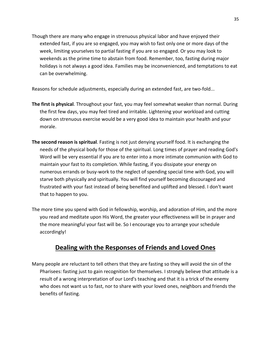Though there are many who engage in strenuous physical labor and have enjoyed their extended fast, if you are so engaged, you may wish to fast only one or more days of the week, limiting yourselves to partial fasting if you are so engaged. Or you may look to weekends as the prime time to abstain from food. Remember, too, fasting during major holidays is not always a good idea. Families may be inconvenienced, and temptations to eat can be overwhelming.

Reasons for schedule adjustments, especially during an extended fast, are two-fold...

- **The first is physical**. Throughout your fast, you may feel somewhat weaker than normal. During the first few days, you may feel tired and irritable. Lightening your workload and cutting down on strenuous exercise would be a very good idea to maintain your health and your morale.
- **The second reason is spiritual**. Fasting is not just denying yourself food. It is exchanging the needs of the physical body for those of the spiritual. Long times of prayer and reading God's Word will be very essential if you are to enter into a more intimate communion with God to maintain your fast to its completion. While fasting, if you dissipate your energy on numerous errands or busy-work to the neglect of spending special time with God, you will starve both physically and spiritually. You will find yourself becoming discouraged and frustrated with your fast instead of being benefited and uplifted and blessed. I don't want that to happen to you.
- The more time you spend with God in fellowship, worship, and adoration of Him, and the more you read and meditate upon His Word, the greater your effectiveness will be in prayer and the more meaningful your fast will be. So I encourage you to arrange your schedule accordingly!

## **[Dealing with the Responses of Friends and Loved Ones](http://www.ccci.org/training-and-growth/devotional-life/personal-guide-to-fasting/07-responses-friends-loved-ones.htm)**

Many people are reluctant to tell others that they are fasting so they will avoid the sin of the Pharisees: fasting just to gain recognition for themselves. I strongly believe that attitude is a result of a wrong interpretation of our Lord's teaching and that it is a trick of the enemy who does not want us to fast, nor to share with your loved ones, neighbors and friends the benefits of fasting.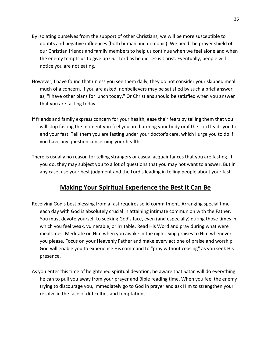- By isolating ourselves from the support of other Christians, we will be more susceptible to doubts and negative influences (both human and demonic). We need the prayer shield of our Christian friends and family members to help us continue when we feel alone and when the enemy tempts us to give up Our Lord as he did Jesus Christ. Eventually, people will notice you are not eating.
- However, I have found that unless you see them daily, they do not consider your skipped meal much of a concern. If you are asked, nonbelievers may be satisfied by such a brief answer as, "I have other plans for lunch today." Or Christians should be satisfied when you answer that you are fasting today.
- If friends and family express concern for your health, ease their fears by telling them that you will stop fasting the moment you feel you are harming your body or if the Lord leads you to end your fast. Tell them you are fasting under your doctor's care, which I urge you to do if you have any question concerning your health.
- There is usually no reason for telling strangers or casual acquaintances that you are fasting. If you do, they may subject you to a lot of questions that you may not want to answer. But in any case, use your best judgment and the Lord's leading in telling people about your fast.

## **[Making Your Spiritual Experience the Best it Can Be](http://www.ccci.org/training-and-growth/devotional-life/personal-guide-to-fasting/08-spiritual-experience.htm)**

- Receiving God's best blessing from a fast requires solid commitment. Arranging special time each day with God is absolutely crucial in attaining intimate communion with the Father. You must devote yourself to seeking God's face, even (and especially) during those times in which you feel weak, vulnerable, or irritable. Read His Word and pray during what were mealtimes. Meditate on Him when you awake in the night. Sing praises to Him whenever you please. Focus on your Heavenly Father and make every act one of praise and worship. God will enable you to experience His command to "pray without ceasing" as you seek His presence.
- As you enter this time of heightened spiritual devotion, be aware that Satan will do everything he can to pull you away from your prayer and Bible reading time. When you feel the enemy trying to discourage you, immediately go to God in prayer and ask Him to strengthen your resolve in the face of difficulties and temptations.